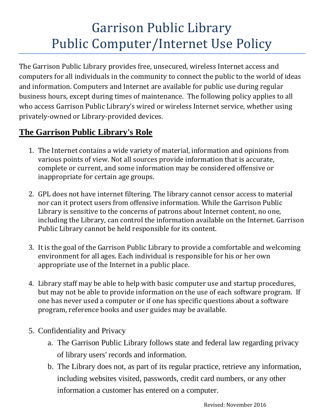## Garrison Public Library Public Computer/Internet Use Policy

The Garrison Public Library provides free, unsecured, wireless Internet access and computers for all individuals in the community to connect the public to the world of ideas and information. Computers and Internet are available for public use during regular business hours, except during times of maintenance. The following policy applies to all who access Garrison Public Library's wired or wireless Internet service, whether using privately-owned or Library-provided devices.

## **The Garrison Public Library's Role**

- 1. The Internet contains a wide variety of material, information and opinions from various points of view. Not all sources provide information that is accurate, complete or current, and some information may be considered offensive or inappropriate for certain age groups.
- 2. GPL does not have internet filtering. The library cannot censor access to material nor can it protect users from offensive information. While the Garrison Public Library is sensitive to the concerns of patrons about Internet content, no one, including the Library, can control the information available on the Internet. Garrison Public Library cannot be held responsible for its content.
- 3. It is the goal of the Garrison Public Library to provide a comfortable and welcoming environment for all ages. Each individual is responsible for his or her own appropriate use of the Internet in a public place.
- 4. Library staff may be able to help with basic computer use and startup procedures, but may not be able to provide information on the use of each software program. If one has never used a computer or if one has specific questions about a software program, reference books and user guides may be available.
- 5. Confidentiality and Privacy
	- a. The Garrison Public Library follows state and federal law regarding privacy of library users' records and information.
	- b. The Library does not, as part of its regular practice, retrieve any information, including websites visited, passwords, credit card numbers, or any other information a customer has entered on a computer.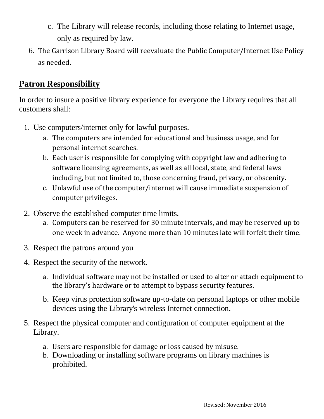- c. The Library will release records, including those relating to Internet usage, only as required by law.
- 6. The Garrison Library Board will reevaluate the Public Computer/Internet Use Policy as needed.

## **Patron Responsibility**

In order to insure a positive library experience for everyone the Library requires that all customers shall:

- 1. Use computers/internet only for lawful purposes.
	- a. The computers are intended for educational and business usage, and for personal internet searches.
	- b. Each user is responsible for complying with copyright law and adhering to software licensing agreements, as well as all local, state, and federal laws including, but not limited to, those concerning fraud, privacy, or obscenity.
	- c. Unlawful use of the computer/internet will cause immediate suspension of computer privileges.
- 2. Observe the established computer time limits.
	- a. Computers can be reserved for 30 minute intervals, and may be reserved up to one week in advance. Anyone more than 10 minutes late will forfeit their time.
- 3. Respect the patrons around you
- 4. Respect the security of the network.
	- a. Individual software may not be installed or used to alter or attach equipment to the library's hardware or to attempt to bypass security features.
	- b. Keep virus protection software up-to-date on personal laptops or other mobile devices using the Library's wireless Internet connection.
- 5. Respect the physical computer and configuration of computer equipment at the Library.
	- a. Users are responsible for damage or loss caused by misuse.
	- b. Downloading or installing software programs on library machines is prohibited.